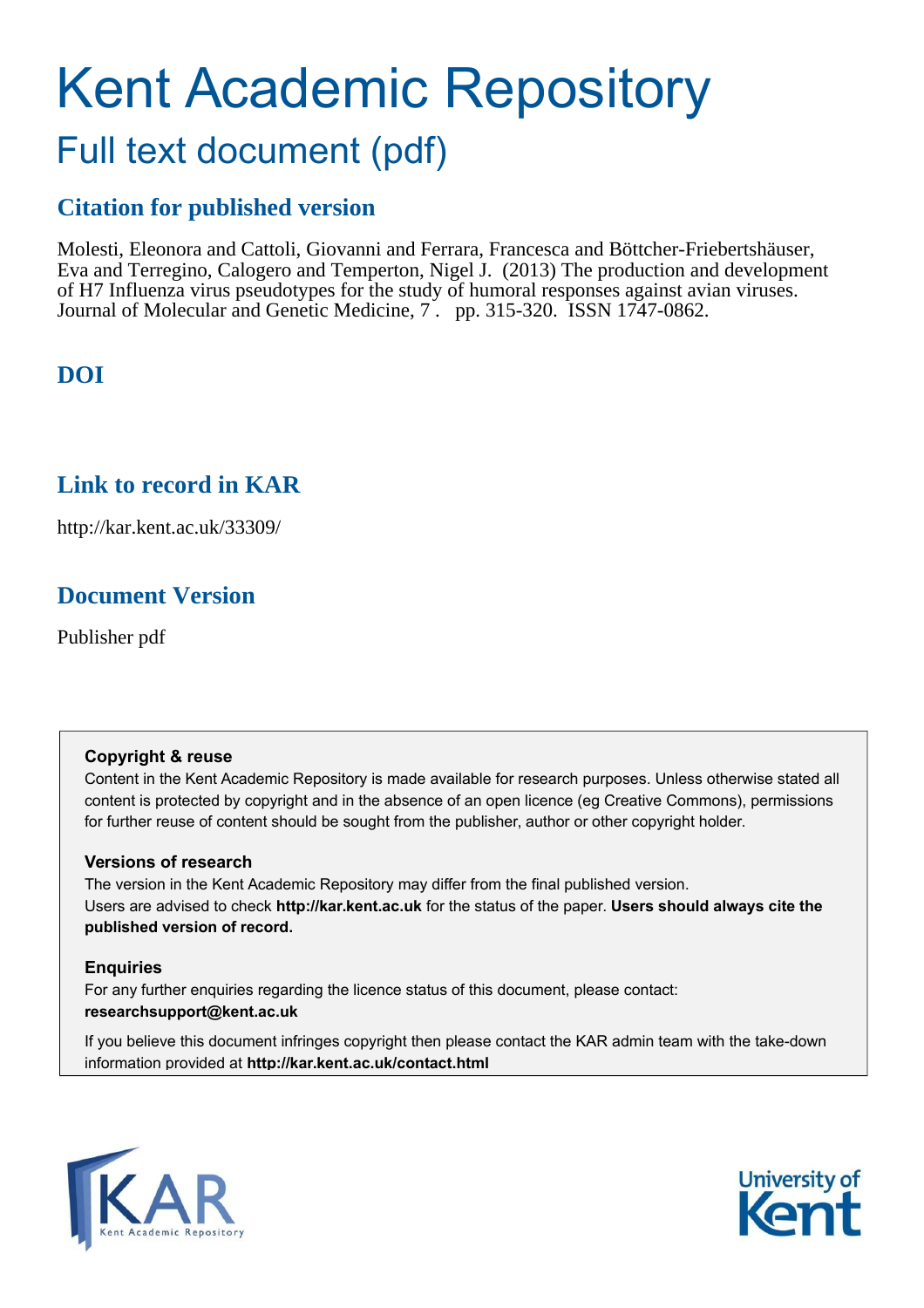# Kent Academic Repository Full text document (pdf)

## **Citation for published version**

Molesti, Eleonora and Cattoli, Giovanni and Ferrara, Francesca and Böttcher-Friebertshäuser, Eva and Terregino, Calogero and Temperton, Nigel J. (2013) The production and development of H7 Influenza virus pseudotypes for the study of humoral responses against avian viruses. Journal of Molecular and Genetic Medicine, 7 . pp. 315-320. ISSN 1747-0862.

# **DOI**

### **Link to record in KAR**

http://kar.kent.ac.uk/33309/

### **Document Version**

Publisher pdf

### **Copyright & reuse**

Content in the Kent Academic Repository is made available for research purposes. Unless otherwise stated all content is protected by copyright and in the absence of an open licence (eg Creative Commons), permissions for further reuse of content should be sought from the publisher, author or other copyright holder.

### **Versions of research**

The version in the Kent Academic Repository may differ from the final published version. Users are advised to check **http://kar.kent.ac.uk** for the status of the paper. **Users should always cite the published version of record.**

### **Enquiries**

For any further enquiries regarding the licence status of this document, please contact: **researchsupport@kent.ac.uk**

If you believe this document infringes copyright then please contact the KAR admin team with the take-down information provided at **http://kar.kent.ac.uk/contact.html**



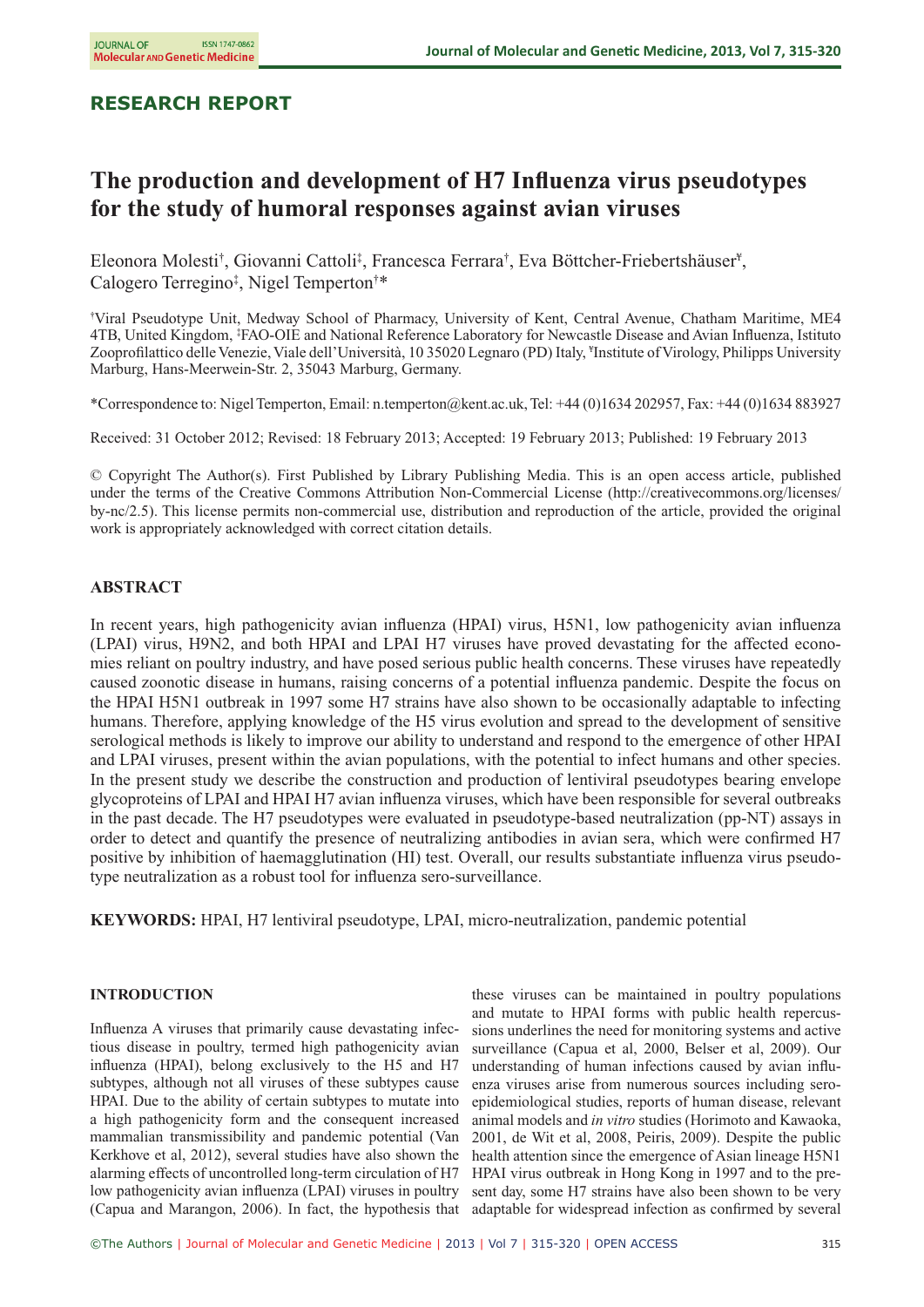### **RESEARCH REPORT**

### **The production and development of H7 Influenza virus pseudotypes for the study of humoral responses against avian viruses**

Eleonora Molesti<sup>†</sup>, Giovanni Cattoli<sup>‡</sup>, Francesca Ferrara<sup>†</sup>, Eva Böttcher-Friebertshäuser<sup>¥</sup>, Calogero Terregino‡ , Nigel Temperton†\*

†Viral Pseudotype Unit, Medway School of Pharmacy, University of Kent, Central Avenue, Chatham Maritime, ME4 4TB, United Kingdom, ‡FAO-OIE and National Reference Laboratory for Newcastle Disease and Avian Influenza, Istituto Zooprofilattico delle Venezie, Viale dell'Università, 10 35020 Legnaro (PD) Italy, ¥ Institute of Virology, Philipps University Marburg, Hans-Meerwein-Str. 2, 35043 Marburg, Germany.

\*Correspondence to: Nigel Temperton, Email: n.temperton@kent.ac.uk, Tel: +44 (0)1634 202957, Fax: +44 (0)1634 883927

Received: 31 October 2012; Revised: 18 February 2013; Accepted: 19 February 2013; Published: 19 February 2013

© Copyright The Author(s). First Published by Library Publishing Media. This is an open access article, published under the terms of the Creative Commons Attribution Non-Commercial License (http://creativecommons.org/licenses/ by-nc/2.5). This license permits non-commercial use, distribution and reproduction of the article, provided the original work is appropriately acknowledged with correct citation details.

#### **ABSTRACT**

In recent years, high pathogenicity avian influenza (HPAI) virus, H5N1, low pathogenicity avian influenza (LPAI) virus, H9N2, and both HPAI and LPAI H7 viruses have proved devastating for the affected economies reliant on poultry industry, and have posed serious public health concerns. These viruses have repeatedly caused zoonotic disease in humans, raising concerns of a potential influenza pandemic. Despite the focus on the HPAI H5N1 outbreak in 1997 some H7 strains have also shown to be occasionally adaptable to infecting humans. Therefore, applying knowledge of the H5 virus evolution and spread to the development of sensitive serological methods is likely to improve our ability to understand and respond to the emergence of other HPAI and LPAI viruses, present within the avian populations, with the potential to infect humans and other species. In the present study we describe the construction and production of lentiviral pseudotypes bearing envelope glycoproteins of LPAI and HPAI H7 avian influenza viruses, which have been responsible for several outbreaks in the past decade. The H7 pseudotypes were evaluated in pseudotype-based neutralization (pp-NT) assays in order to detect and quantify the presence of neutralizing antibodies in avian sera, which were confirmed H7 positive by inhibition of haemagglutination (HI) test. Overall, our results substantiate influenza virus pseudotype neutralization as a robust tool for influenza sero-surveillance.

**KEYWORDS:** HPAI, H7 lentiviral pseudotype, LPAI, micro-neutralization, pandemic potential

#### **INTRODUCTION**

Influenza A viruses that primarily cause devastating infectious disease in poultry, termed high pathogenicity avian influenza (HPAI), belong exclusively to the H5 and H7 subtypes, although not all viruses of these subtypes cause HPAI. Due to the ability of certain subtypes to mutate into a high pathogenicity form and the consequent increased mammalian transmissibility and pandemic potential (Van Kerkhove et al, 2012), several studies have also shown the alarming effects of uncontrolled long-term circulation of H7 low pathogenicity avian influenza (LPAI) viruses in poultry (Capua and Marangon, 2006). In fact, the hypothesis that adaptable for widespread infection as confirmed by several

these viruses can be maintained in poultry populations and mutate to HPAI forms with public health repercussions underlines the need for monitoring systems and active surveillance (Capua et al, 2000, Belser et al, 2009). Our understanding of human infections caused by avian influenza viruses arise from numerous sources including seroepidemiological studies, reports of human disease, relevant animal models and *in vitro* studies (Horimoto and Kawaoka, 2001, de Wit et al, 2008, Peiris, 2009). Despite the public health attention since the emergence of Asian lineage H5N1 HPAI virus outbreak in Hong Kong in 1997 and to the present day, some H7 strains have also been shown to be very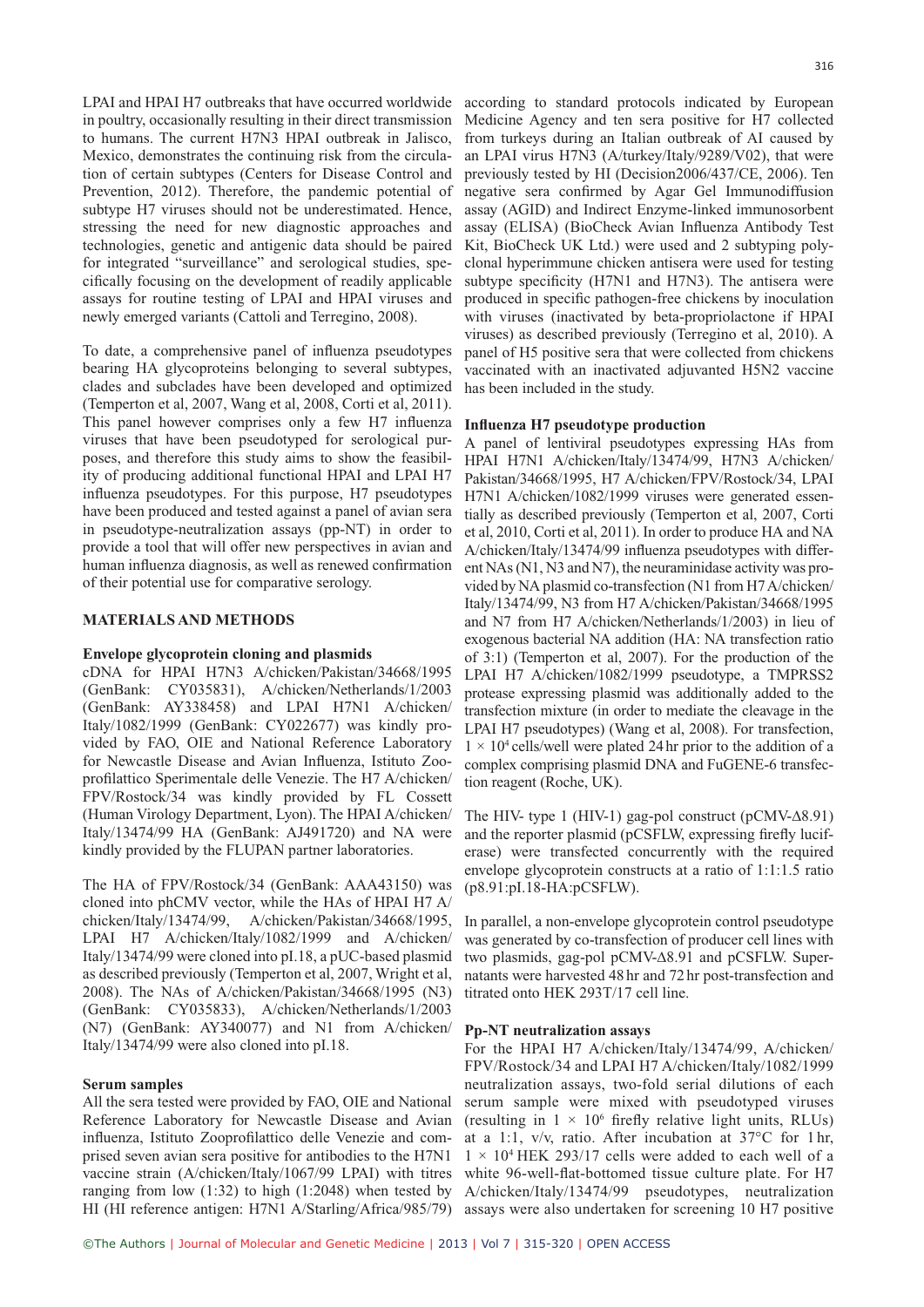LPAI and HPAI H7 outbreaks that have occurred worldwide according to standard protocols indicated by European in poultry, occasionally resulting in their direct transmission to humans. The current H7N3 HPAI outbreak in Jalisco, Mexico, demonstrates the continuing risk from the circulation of certain subtypes (Centers for Disease Control and Prevention, 2012). Therefore, the pandemic potential of subtype H7 viruses should not be underestimated. Hence, stressing the need for new diagnostic approaches and technologies, genetic and antigenic data should be paired for integrated "surveillance" and serological studies, specifically focusing on the development of readily applicable assays for routine testing of LPAI and HPAI viruses and newly emerged variants (Cattoli and Terregino, 2008).

To date, a comprehensive panel of influenza pseudotypes bearing HA glycoproteins belonging to several subtypes, clades and subclades have been developed and optimized (Temperton et al, 2007, Wang et al, 2008, Corti et al, 2011). This panel however comprises only a few H7 influenza viruses that have been pseudotyped for serological purposes, and therefore this study aims to show the feasibility of producing additional functional HPAI and LPAI H7 influenza pseudotypes. For this purpose, H7 pseudotypes have been produced and tested against a panel of avian sera in pseudotype-neutralization assays (pp-NT) in order to provide a tool that will offer new perspectives in avian and human influenza diagnosis, as well as renewed confirmation of their potential use for comparative serology.

#### **MATERIALS AND METHODS**

#### **Envelope glycoprotein cloning and plasmids**

cDNA for HPAI H7N3 A/chicken/Pakistan/34668/1995 (GenBank: CY035831), A/chicken/Netherlands/1/2003 (GenBank: AY338458) and LPAI H7N1 A/chicken/ Italy/1082/1999 (GenBank: CY022677) was kindly provided by FAO, OIE and National Reference Laboratory for Newcastle Disease and Avian Influenza, Istituto Zooprofilattico Sperimentale delle Venezie. The H7 A/chicken/ FPV/Rostock/34 was kindly provided by FL Cossett (Human Virology Department, Lyon). The HPAI A/chicken/ Italy/13474/99 HA (GenBank: AJ491720) and NA were kindly provided by the FLUPAN partner laboratories.

The HA of FPV/Rostock/34 (GenBank: AAA43150) was cloned into phCMV vector, while the HAs of HPAI H7 A/ chicken/Italy/13474/99, A/chicken/Pakistan/34668/1995, LPAI H7 A/chicken/Italy/1082/1999 and A/chicken/ Italy/13474/99 were cloned into pI.18, a pUC-based plasmid as described previously (Temperton et al, 2007, Wright et al, 2008). The NAs of A/chicken/Pakistan/34668/1995 (N3) (GenBank: CY035833), A/chicken/Netherlands/1/2003 (N7) (GenBank: AY340077) and N1 from A/chicken/ Italy/13474/99 were also cloned into pI.18.

#### **Serum samples**

All the sera tested were provided by FAO, OIE and National Reference Laboratory for Newcastle Disease and Avian influenza, Istituto Zooprofilattico delle Venezie and comprised seven avian sera positive for antibodies to the H7N1 vaccine strain (A/chicken/Italy/1067/99 LPAI) with titres ranging from low  $(1:32)$  to high  $(1:2048)$  when tested by

Medicine Agency and ten sera positive for H7 collected from turkeys during an Italian outbreak of AI caused by an LPAI virus H7N3 (A/turkey/Italy/9289/V02), that were previously tested by HI (Decision2006/437/CE, 2006). Ten negative sera confirmed by Agar Gel Immunodiffusion assay (AGID) and Indirect Enzyme-linked immunosorbent assay (ELISA) (BioCheck Avian Influenza Antibody Test Kit, BioCheck UK Ltd.) were used and 2 subtyping polyclonal hyperimmune chicken antisera were used for testing subtype specificity (H7N1 and H7N3). The antisera were produced in specific pathogen-free chickens by inoculation with viruses (inactivated by beta-propriolactone if HPAI viruses) as described previously (Terregino et al, 2010). A panel of H5 positive sera that were collected from chickens vaccinated with an inactivated adjuvanted H5N2 vaccine has been included in the study.

#### **Influenza H7 pseudotype production**

A panel of lentiviral pseudotypes expressing HAs from HPAI H7N1 A/chicken/Italy/13474/99, H7N3 A/chicken/ Pakistan/34668/1995, H7 A/chicken/FPV/Rostock/34, LPAI H7N1 A/chicken/1082/1999 viruses were generated essentially as described previously (Temperton et al, 2007, Corti et al, 2010, Corti et al, 2011). In order to produce HA and NA A/chicken/Italy/13474/99 influenza pseudotypes with different NAs (N1, N3 and N7), the neuraminidase activity was provided by NA plasmid co-transfection (N1 from H7 A/chicken/ Italy/13474/99, N3 from H7 A/chicken/Pakistan/34668/1995 and N7 from H7 A/chicken/Netherlands/1/2003) in lieu of exogenous bacterial NA addition (HA: NA transfection ratio of 3:1) (Temperton et al, 2007). For the production of the LPAI H7 A/chicken/1082/1999 pseudotype, a TMPRSS2 protease expressing plasmid was additionally added to the transfection mixture (in order to mediate the cleavage in the LPAI H7 pseudotypes) (Wang et al, 2008). For transfection,  $1 \times 10^4$  cells/well were plated 24 hr prior to the addition of a complex comprising plasmid DNA and FuGENE-6 transfection reagent (Roche, UK).

The HIV- type 1 (HIV-1) gag-pol construct (pCMV-Δ8.91) and the reporter plasmid (pCSFLW, expressing firefly luciferase) were transfected concurrently with the required envelope glycoprotein constructs at a ratio of 1:1:1.5 ratio (p8.91:pI.18-HA:pCSFLW).

In parallel, a non-envelope glycoprotein control pseudotype was generated by co-transfection of producer cell lines with two plasmids, gag-pol pCMV-Δ8.91 and pCSFLW. Supernatants were harvested 48 hr and 72 hr post-transfection and titrated onto HEK 293T/17 cell line.

#### **Pp-NT neutralization assays**

HI (HI reference antigen: H7N1 A/Starling/Africa/985/79) assays were also undertaken for screening 10 H7 positive For the HPAI H7 A/chicken/Italy/13474/99, A/chicken/ FPV/Rostock/34 and LPAI H7 A/chicken/Italy/1082/1999 neutralization assays, two-fold serial dilutions of each serum sample were mixed with pseudotyped viruses (resulting in  $1 \times 10^6$  firefly relative light units, RLUs) at a 1:1, v/v, ratio. After incubation at 37°C for 1 hr,  $1 \times 10^4$  HEK 293/17 cells were added to each well of a white 96-well-flat-bottomed tissue culture plate. For H7 A/chicken/Italy/13474/99 pseudotypes, neutralization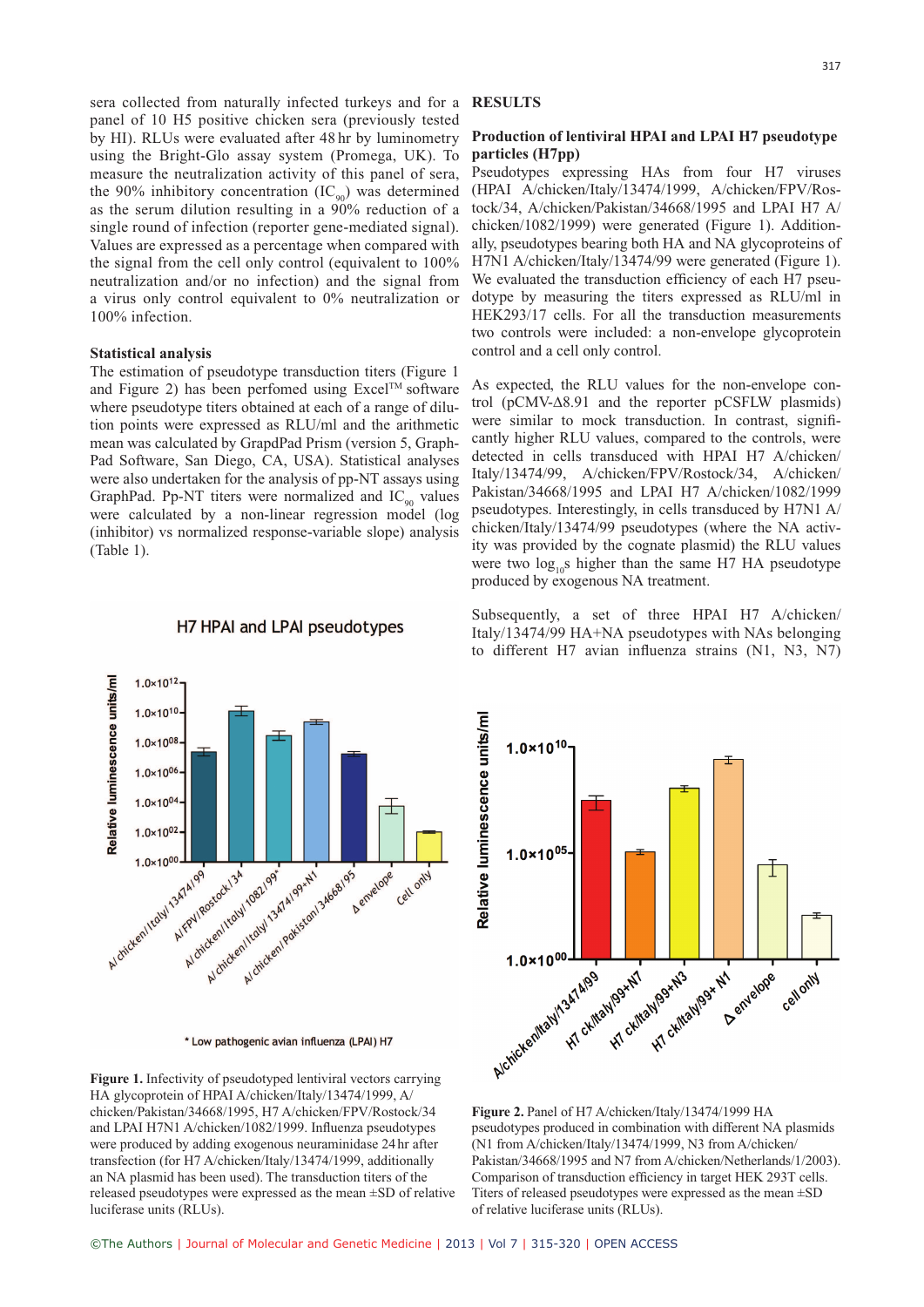sera collected from naturally infected turkeys and for a **RESULTS** panel of 10 H5 positive chicken sera (previously tested by HI). RLUs were evaluated after 48 hr by luminometry using the Bright-Glo assay system (Promega, UK). To measure the neutralization activity of this panel of sera, the 90% inhibitory concentration  $(IC_{90})$  was determined as the serum dilution resulting in a 90% reduction of a single round of infection (reporter gene-mediated signal). Values are expressed as a percentage when compared with the signal from the cell only control (equivalent to 100% neutralization and/or no infection) and the signal from a virus only control equivalent to 0% neutralization or 100% infection.

#### **Statistical analysis**

The estimation of pseudotype transduction titers (Figure 1 and Figure 2) has been perfomed using  $\text{Excel}^{\text{TM}}$  software where pseudotype titers obtained at each of a range of dilution points were expressed as RLU/ml and the arithmetic mean was calculated by GrapdPad Prism (version 5, Graph-Pad Software, San Diego, CA, USA). Statistical analyses were also undertaken for the analysis of pp-NT assays using GraphPad. Pp-NT titers were normalized and  $IC_{90}$  values were calculated by a non-linear regression model (log (inhibitor) vs normalized response-variable slope) analysis (Table 1).

#### H7 HPAI and LPAI pseudotypes

#### **Production of lentiviral HPAI and LPAI H7 pseudotype particles (H7pp)**

Pseudotypes expressing HAs from four H7 viruses (HPAI A/chicken/Italy/13474/1999, A/chicken/FPV/Rostock/34, A/chicken/Pakistan/34668/1995 and LPAI H7 A/ chicken/1082/1999) were generated (Figure 1). Additionally, pseudotypes bearing both HA and NA glycoproteins of H7N1 A/chicken/Italy/13474/99 were generated (Figure 1). We evaluated the transduction efficiency of each H7 pseudotype by measuring the titers expressed as RLU/ml in HEK293/17 cells. For all the transduction measurements two controls were included: a non-envelope glycoprotein control and a cell only control.

As expected, the RLU values for the non-envelope control (pCMV-Δ8.91 and the reporter pCSFLW plasmids) were similar to mock transduction. In contrast, significantly higher RLU values, compared to the controls, were detected in cells transduced with HPAI H7 A/chicken/ Italy/13474/99, A/chicken/FPV/Rostock/34, A/chicken/ Pakistan/34668/1995 and LPAI H7 A/chicken/1082/1999 pseudotypes. Interestingly, in cells transduced by H7N1 A/ chicken/Italy/13474/99 pseudotypes (where the NA activity was provided by the cognate plasmid) the RLU values were two  $\log_{10}$ s higher than the same H7 HA pseudotype produced by exogenous NA treatment.

Subsequently, a set of three HPAI H7 A/chicken/ Italy/13474/99 HA+NA pseudotypes with NAs belonging to different H7 avian influenza strains (N1, N3, N7)



**Figure 2.** Panel of H7 A/chicken/Italy/13474/1999 HA pseudotypes produced in combination with different NA plasmids (N1 from A/chicken/Italy/13474/1999, N3 from A/chicken/ Pakistan/34668/1995 and N7 from A/chicken/Netherlands/1/2003). Comparison of transduction efficiency in target HEK 293T cells. Titers of released pseudotypes were expressed as the mean ±SD of relative luciferase units (RLUs).





**Figure 1.** Infectivity of pseudotyped lentiviral vectors carrying HA glycoprotein of HPAI A/chicken/Italy/13474/1999, A/ chicken/Pakistan/34668/1995, H7 A/chicken/FPV/Rostock/34 and LPAI H7N1 A/chicken/1082/1999. Influenza pseudotypes were produced by adding exogenous neuraminidase 24 hr after transfection (for H7 A/chicken/Italy/13474/1999, additionally an NA plasmid has been used). The transduction titers of the released pseudotypes were expressed as the mean ±SD of relative luciferase units (RLUs).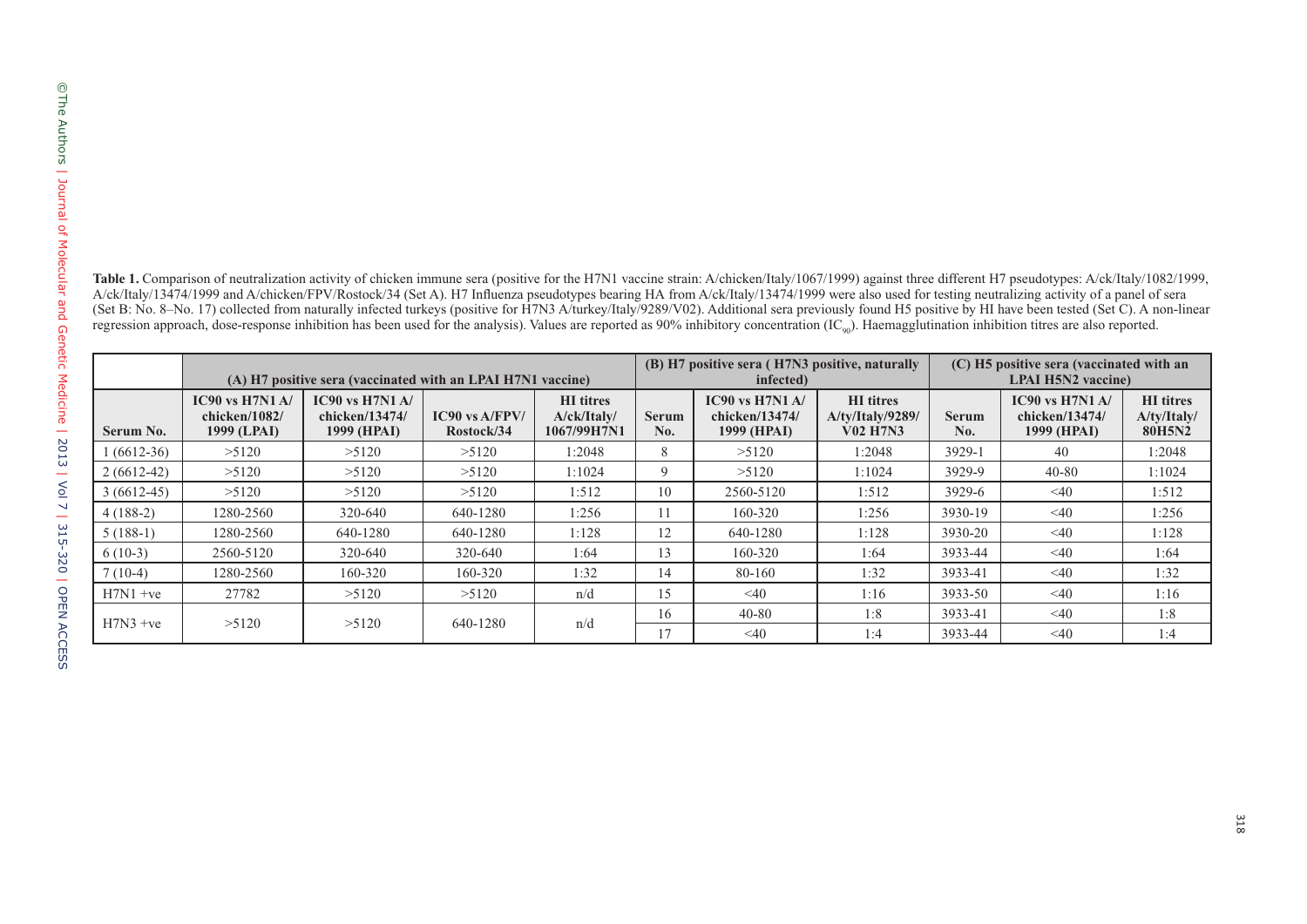| <b>able 1.</b> Comparison of neutralization activity of chicken immune sera (positive for the H7N1 vaccine strain: A/chicken/Italy/1067/1999) against three different H7 pseudotypes: A/ck/Italy/1082/1999,  |
|--------------------------------------------------------------------------------------------------------------------------------------------------------------------------------------------------------------|
| Vck/Italy/13474/1999 and A/chicken/FPV/Rostock/34 (Set A). H7 Influenza pseudotypes bearing HA from A/ck/Italy/13474/1999 were also used for testing neutralizing activity of a panel of sera                |
| Set B: No. 8–No. 17) collected from naturally infected turkeys (positive for H7N3 A/turkey/Italy/9289/V02). Additional sera previously found H5 positive by HI have been tested (Set C). A non-linear        |
| egression approach, dose-response inhibition has been used for the analysis). Values are reported as 90% inhibitory concentration $(IC_{\omega_0})$ . Haemagglutination inhibition titres are also reported. |

| Serum No.    | (A) H7 positive sera (vaccinated with an LPAI H7N1 vaccine) |                                                      |                                  |                                                | (B) H7 positive sera (H7N3 positive, naturally<br>infected) |                                                   |                                                         | (C) H5 positive sera (vaccinated with an<br><b>LPAI H5N2</b> vaccine) |                                                      |                                                  |
|--------------|-------------------------------------------------------------|------------------------------------------------------|----------------------------------|------------------------------------------------|-------------------------------------------------------------|---------------------------------------------------|---------------------------------------------------------|-----------------------------------------------------------------------|------------------------------------------------------|--------------------------------------------------|
|              | $IC90$ vs $H7N1$ A/<br>chicken/1082/<br>1999 (LPAI)         | $IC90$ vs $H7N1$ A/<br>chicken/13474/<br>1999 (HPAI) | $IC90$ vs $A/FPV/$<br>Rostock/34 | <b>HI</b> titres<br>A/ck/Italv/<br>1067/99H7N1 | <b>Serum</b><br>No.                                         | IC90 vs $H7N1A/$<br>chicken/13474/<br>1999 (HPAI) | <b>HI</b> titres<br>A/ty/Italy/9289/<br><b>V02 H7N3</b> | <b>Serum</b><br>No.                                                   | $IC90$ vs $H7N1$ A/<br>chicken/13474/<br>1999 (HPAI) | <b>HI</b> titres<br>A/ty/Italy/<br><b>80H5N2</b> |
| $1(6612-36)$ | >5120                                                       | >5120                                                | >5120                            | 1:2048                                         | 8                                                           | >5120                                             | 1:2048                                                  | 3929-1                                                                | 40                                                   | 1:2048                                           |
| $2(6612-42)$ | >5120                                                       | >5120                                                | >5120                            | 1:1024                                         | 9                                                           | >5120                                             | 1:1024                                                  | 3929-9                                                                | $40 - 80$                                            | 1:1024                                           |
| $3(6612-45)$ | >5120                                                       | >5120                                                | >5120                            | 1:512                                          | 10                                                          | 2560-5120                                         | 1:512                                                   | 3929-6                                                                | $<$ 40                                               | 1:512                                            |
| $4(188-2)$   | 1280-2560                                                   | 320-640                                              | 640-1280                         | 1:256                                          | 11                                                          | 160-320                                           | 1:256                                                   | 3930-19                                                               | $\leq 40$                                            | 1:256                                            |
| $5(188-1)$   | 1280-2560                                                   | 640-1280                                             | 640-1280                         | 1:128                                          | 12                                                          | 640-1280                                          | 1:128                                                   | 3930-20                                                               | $<$ 40                                               | 1:128                                            |
| $6(10-3)$    | 2560-5120                                                   | 320-640                                              | 320-640                          | 1:64                                           | 13                                                          | 160-320                                           | 1:64                                                    | 3933-44                                                               | $\leq 40$                                            | 1:64                                             |
| $7(10-4)$    | 1280-2560                                                   | 160-320                                              | 160-320                          | 1:32                                           | 14                                                          | 80-160                                            | 1:32                                                    | 3933-41                                                               | $<$ 40                                               | 1:32                                             |
| $H7N1 + ve$  | 27782                                                       | >5120                                                | >5120                            | n/d                                            | 15                                                          | $\leq 40$                                         | 1:16                                                    | 3933-50                                                               | $\leq 40$                                            | 1:16                                             |
| $H7N3 +ve$   | >5120                                                       | >5120                                                | 640-1280                         | n/d                                            | 16                                                          | $40 - 80$                                         | 1:8                                                     | 3933-41                                                               | $\leq 40$                                            | 1:8                                              |
|              |                                                             |                                                      |                                  |                                                | 17                                                          | $<$ 40                                            | 1:4                                                     | 3933-44                                                               | $\leq 40$                                            | 1:4                                              |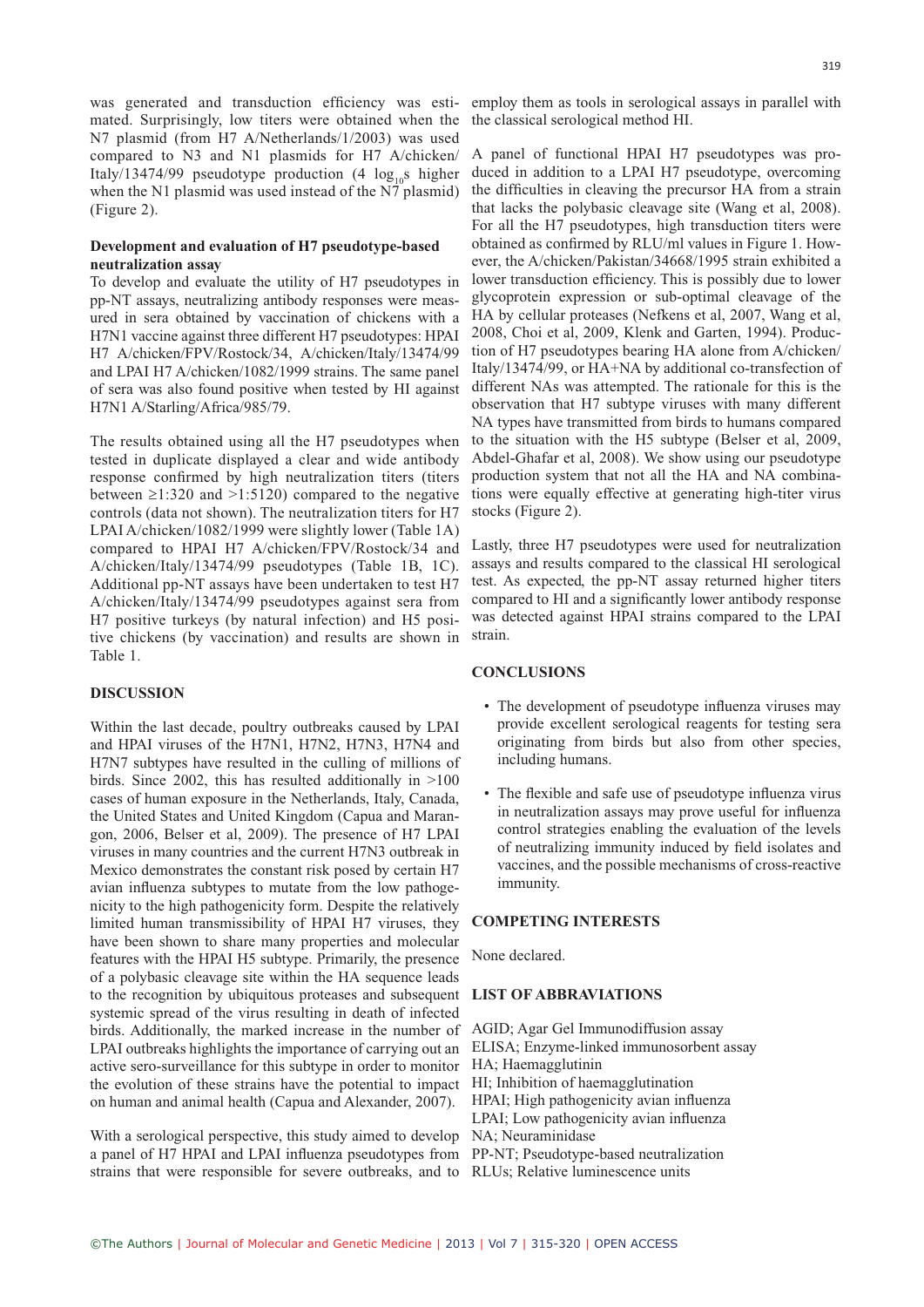was generated and transduction efficiency was esti- employ them as tools in serological assays in parallel with mated. Surprisingly, low titers were obtained when the N7 plasmid (from H7 A/Netherlands/1/2003) was used compared to N3 and N1 plasmids for H7 A/chicken/ Italy/13474/99 pseudotype production (4  $log_{10}s$  higher when the N1 plasmid was used instead of the N7 plasmid) (Figure 2).

#### **Development and evaluation of H7 pseudotype-based neutralization assay**

To develop and evaluate the utility of H7 pseudotypes in pp-NT assays, neutralizing antibody responses were measured in sera obtained by vaccination of chickens with a H7N1 vaccine against three different H7 pseudotypes: HPAI H7 A/chicken/FPV/Rostock/34, A/chicken/Italy/13474/99 and LPAI H7 A/chicken/1082/1999 strains. The same panel of sera was also found positive when tested by HI against H7N1 A/Starling/Africa/985/79.

The results obtained using all the H7 pseudotypes when tested in duplicate displayed a clear and wide antibody response confirmed by high neutralization titers (titers between  $\geq 1:320$  and  $\geq 1:5120$ ) compared to the negative controls (data not shown). The neutralization titers for H7 LPAI A/chicken/1082/1999 were slightly lower (Table 1A) compared to HPAI H7 A/chicken/FPV/Rostock/34 and A/chicken/Italy/13474/99 pseudotypes (Table 1B, 1C). Additional pp-NT assays have been undertaken to test H7 A/chicken/Italy/13474/99 pseudotypes against sera from H7 positive turkeys (by natural infection) and H5 positive chickens (by vaccination) and results are shown in Table 1.

#### **DISCUSSION**

to the recognition by ubiquitous proteases and subsequent **LIST OF ABBRAVIATIONS** birds. Additionally, the marked increase in the number of AGID; Agar Gel Immunodiffusion assay LPAI outbreaks highlights the importance of carrying out an ELISA; Enzyme-linked immunosorbent assay active sero-surveillance for this subtype in order to monitor HA; Haemagglutinin the evolution of these strains have the potential to impact HI; Inhibition of haemagglutination Within the last decade, poultry outbreaks caused by LPAI and HPAI viruses of the H7N1, H7N2, H7N3, H7N4 and H7N7 subtypes have resulted in the culling of millions of birds. Since 2002, this has resulted additionally in >100 cases of human exposure in the Netherlands, Italy, Canada, the United States and United Kingdom (Capua and Marangon, 2006, Belser et al, 2009). The presence of H7 LPAI viruses in many countries and the current H7N3 outbreak in Mexico demonstrates the constant risk posed by certain H7 avian influenza subtypes to mutate from the low pathogenicity to the high pathogenicity form. Despite the relatively limited human transmissibility of HPAI H7 viruses, they have been shown to share many properties and molecular features with the HPAI H5 subtype. Primarily, the presence of a polybasic cleavage site within the HA sequence leads systemic spread of the virus resulting in death of infected on human and animal health (Capua and Alexander, 2007).

With a serological perspective, this study aimed to develop NA; Neuraminidase a panel of H7 HPAI and LPAI influenza pseudotypes from PP-NT; Pseudotype-based neutralization strains that were responsible for severe outbreaks, and to RLUs; Relative luminescence units

the classical serological method HI.

A panel of functional HPAI H7 pseudotypes was produced in addition to a LPAI H7 pseudotype, overcoming the difficulties in cleaving the precursor HA from a strain that lacks the polybasic cleavage site (Wang et al, 2008). For all the H7 pseudotypes, high transduction titers were obtained as confirmed by RLU/ml values in Figure 1. However, the A/chicken/Pakistan/34668/1995 strain exhibited a lower transduction efficiency. This is possibly due to lower glycoprotein expression or sub-optimal cleavage of the HA by cellular proteases (Nefkens et al, 2007, Wang et al, 2008, Choi et al, 2009, Klenk and Garten, 1994). Production of H7 pseudotypes bearing HA alone from A/chicken/ Italy/13474/99, or HA+NA by additional co-transfection of different NAs was attempted. The rationale for this is the observation that H7 subtype viruses with many different NA types have transmitted from birds to humans compared to the situation with the H5 subtype (Belser et al, 2009, Abdel-Ghafar et al, 2008). We show using our pseudotype production system that not all the HA and NA combinations were equally effective at generating high-titer virus stocks (Figure 2).

Lastly, three H7 pseudotypes were used for neutralization assays and results compared to the classical HI serological test. As expected, the pp-NT assay returned higher titers compared to HI and a significantly lower antibody response was detected against HPAI strains compared to the LPAI strain.

#### **CONCLUSIONS**

- The development of pseudotype influenza viruses may provide excellent serological reagents for testing sera originating from birds but also from other species, including humans.
- The flexible and safe use of pseudotype influenza virus in neutralization assays may prove useful for influenza control strategies enabling the evaluation of the levels of neutralizing immunity induced by field isolates and vaccines, and the possible mechanisms of cross-reactive immunity.

#### **COMPETING INTERESTS**

None declared.

HPAI; High pathogenicity avian influenza LPAI; Low pathogenicity avian influenza